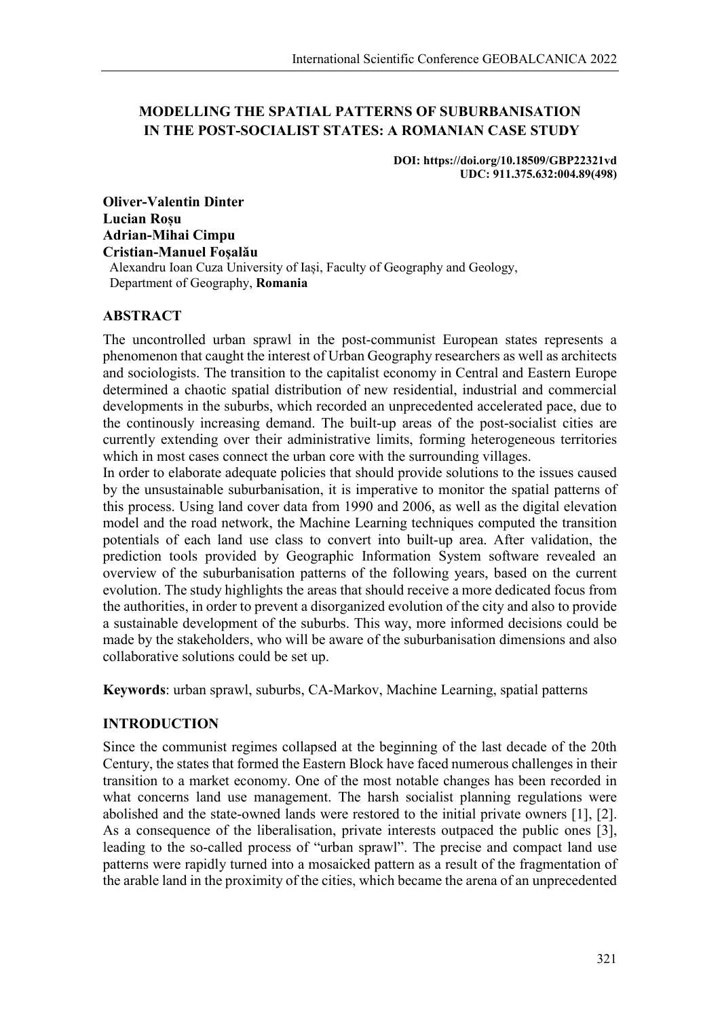# **MODELLING THE SPATIAL PATTERNS OF SUBURBANISATION IN THE POST-SOCIALIST STATES: A ROMANIAN CASE STUDY**

**DOI: https://doi.org/10.18509/GBP22321vd UDC: 911.375.632:004.89(498)**

**Oliver-Valentin Dinter Lucian Roșu Adrian-Mihai Cimpu Cristian-Manuel Foșalău** Alexandru Ioan Cuza University of Iași, Faculty of Geography and Geology, Department of Geography, **Romania**

## **ABSTRACT**

The uncontrolled urban sprawl in the post-communist European states represents a phenomenon that caught the interest of Urban Geography researchers as well as architects and sociologists. The transition to the capitalist economy in Central and Eastern Europe determined a chaotic spatial distribution of new residential, industrial and commercial developments in the suburbs, which recorded an unprecedented accelerated pace, due to the continously increasing demand. The built-up areas of the post-socialist cities are currently extending over their administrative limits, forming heterogeneous territories which in most cases connect the urban core with the surrounding villages.

In order to elaborate adequate policies that should provide solutions to the issues caused by the unsustainable suburbanisation, it is imperative to monitor the spatial patterns of this process. Using land cover data from 1990 and 2006, as well as the digital elevation model and the road network, the Machine Learning techniques computed the transition potentials of each land use class to convert into built-up area. After validation, the prediction tools provided by Geographic Information System software revealed an overview of the suburbanisation patterns of the following years, based on the current evolution. The study highlights the areas that should receive a more dedicated focus from the authorities, in order to prevent a disorganized evolution of the city and also to provide a sustainable development of the suburbs. This way, more informed decisions could be made by the stakeholders, who will be aware of the suburbanisation dimensions and also collaborative solutions could be set up.

**Keywords**: urban sprawl, suburbs, CA-Markov, Machine Learning, spatial patterns

# **INTRODUCTION**

Since the communist regimes collapsed at the beginning of the last decade of the 20th Century, the states that formed the Eastern Block have faced numerous challenges in their transition to a market economy. One of the most notable changes has been recorded in what concerns land use management. The harsh socialist planning regulations were abolished and the state-owned lands were restored to the initial private owners [1], [2]. As a consequence of the liberalisation, private interests outpaced the public ones [3], leading to the so-called process of "urban sprawl". The precise and compact land use patterns were rapidly turned into a mosaicked pattern as a result of the fragmentation of the arable land in the proximity of the cities, which became the arena of an unprecedented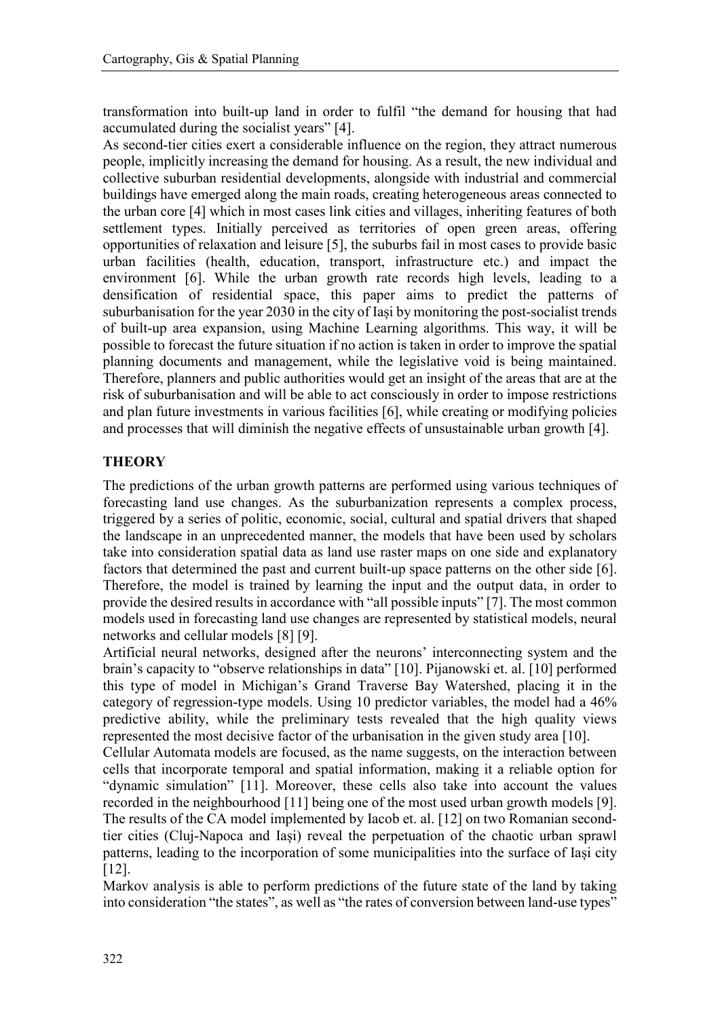transformation into built-up land in order to fulfil "the demand for housing that had accumulated during the socialist years" [4].

As second-tier cities exert a considerable influence on the region, they attract numerous people, implicitly increasing the demand for housing. As a result, the new individual and collective suburban residential developments, alongside with industrial and commercial buildings have emerged along the main roads, creating heterogeneous areas connected to the urban core [4] which in most cases link cities and villages, inheriting features of both settlement types. Initially perceived as territories of open green areas, offering opportunities of relaxation and leisure [5], the suburbs fail in most cases to provide basic urban facilities (health, education, transport, infrastructure etc.) and impact the environment [6]. While the urban growth rate records high levels, leading to a densification of residential space, this paper aims to predict the patterns of suburbanisation for the year 2030 in the city of Iași by monitoring the post-socialist trends of built-up area expansion, using Machine Learning algorithms. This way, it will be possible to forecast the future situation if no action is taken in order to improve the spatial planning documents and management, while the legislative void is being maintained. Therefore, planners and public authorities would get an insight of the areas that are at the risk of suburbanisation and will be able to act consciously in order to impose restrictions and plan future investments in various facilities [6], while creating or modifying policies and processes that will diminish the negative effects of unsustainable urban growth [4].

#### **THEORY**

The predictions of the urban growth patterns are performed using various techniques of forecasting land use changes. As the suburbanization represents a complex process, triggered by a series of politic, economic, social, cultural and spatial drivers that shaped the landscape in an unprecedented manner, the models that have been used by scholars take into consideration spatial data as land use raster maps on one side and explanatory factors that determined the past and current built-up space patterns on the other side [6]. Therefore, the model is trained by learning the input and the output data, in order to provide the desired results in accordance with "all possible inputs" [7]. The most common models used in forecasting land use changes are represented by statistical models, neural networks and cellular models [8] [9].

Artificial neural networks, designed after the neurons' interconnecting system and the brain's capacity to "observe relationships in data" [10]. Pijanowski et. al. [10] performed this type of model in Michigan's Grand Traverse Bay Watershed, placing it in the category of regression-type models. Using 10 predictor variables, the model had a 46% predictive ability, while the preliminary tests revealed that the high quality views represented the most decisive factor of the urbanisation in the given study area [10].

Cellular Automata models are focused, as the name suggests, on the interaction between cells that incorporate temporal and spatial information, making it a reliable option for "dynamic simulation" [11]. Moreover, these cells also take into account the values recorded in the neighbourhood [11] being one of the most used urban growth models [9]. The results of the CA model implemented by Iacob et. al. [12] on two Romanian secondtier cities (Cluj-Napoca and Iași) reveal the perpetuation of the chaotic urban sprawl patterns, leading to the incorporation of some municipalities into the surface of Iași city [12].

Markov analysis is able to perform predictions of the future state of the land by taking into consideration "the states", as well as "the rates of conversion between land-use types"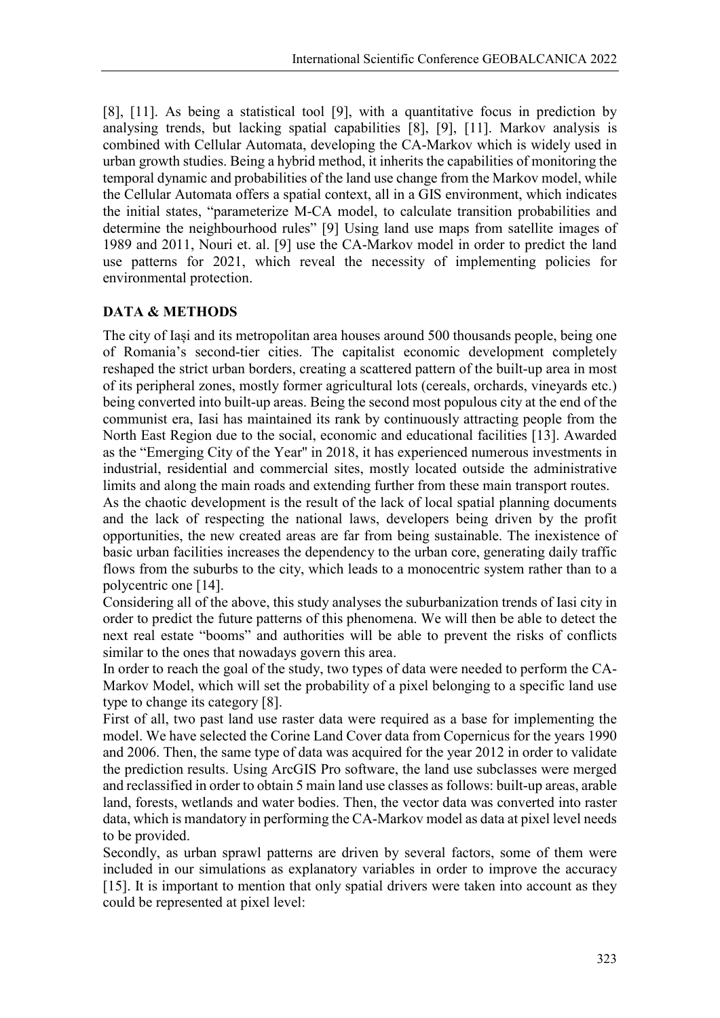[8], [11]. As being a statistical tool [9], with a quantitative focus in prediction by analysing trends, but lacking spatial capabilities [8], [9], [11]. Markov analysis is combined with Cellular Automata, developing the CA-Markov which is widely used in urban growth studies. Being a hybrid method, it inherits the capabilities of monitoring the temporal dynamic and probabilities of the land use change from the Markov model, while the Cellular Automata offers a spatial context, all in a GIS environment, which indicates the initial states, "parameterize M-CA model, to calculate transition probabilities and determine the neighbourhood rules" [9] Using land use maps from satellite images of 1989 and 2011, Nouri et. al. [9] use the CA-Markov model in order to predict the land use patterns for 2021, which reveal the necessity of implementing policies for environmental protection.

# **DATA & METHODS**

The city of Iași and its metropolitan area houses around 500 thousands people, being one of Romania's second-tier cities. The capitalist economic development completely reshaped the strict urban borders, creating a scattered pattern of the built-up area in most of its peripheral zones, mostly former agricultural lots (cereals, orchards, vineyards etc.) being converted into built-up areas. Being the second most populous city at the end of the communist era, Iasi has maintained its rank by continuously attracting people from the North East Region due to the social, economic and educational facilities [13]. Awarded as the "Emerging City of the Year'' in 2018, it has experienced numerous investments in industrial, residential and commercial sites, mostly located outside the administrative limits and along the main roads and extending further from these main transport routes.

As the chaotic development is the result of the lack of local spatial planning documents and the lack of respecting the national laws, developers being driven by the profit opportunities, the new created areas are far from being sustainable. The inexistence of basic urban facilities increases the dependency to the urban core, generating daily traffic flows from the suburbs to the city, which leads to a monocentric system rather than to a polycentric one [14].

Considering all of the above, this study analyses the suburbanization trends of Iasi city in order to predict the future patterns of this phenomena. We will then be able to detect the next real estate "booms" and authorities will be able to prevent the risks of conflicts similar to the ones that nowadays govern this area.

In order to reach the goal of the study, two types of data were needed to perform the CA-Markov Model, which will set the probability of a pixel belonging to a specific land use type to change its category [8].

First of all, two past land use raster data were required as a base for implementing the model. We have selected the Corine Land Cover data from Copernicus for the years 1990 and 2006. Then, the same type of data was acquired for the year 2012 in order to validate the prediction results. Using ArcGIS Pro software, the land use subclasses were merged and reclassified in order to obtain 5 main land use classes as follows: built-up areas, arable land, forests, wetlands and water bodies. Then, the vector data was converted into raster data, which is mandatory in performing the CA-Markov model as data at pixel level needs to be provided.

Secondly, as urban sprawl patterns are driven by several factors, some of them were included in our simulations as explanatory variables in order to improve the accuracy [15]. It is important to mention that only spatial drivers were taken into account as they could be represented at pixel level: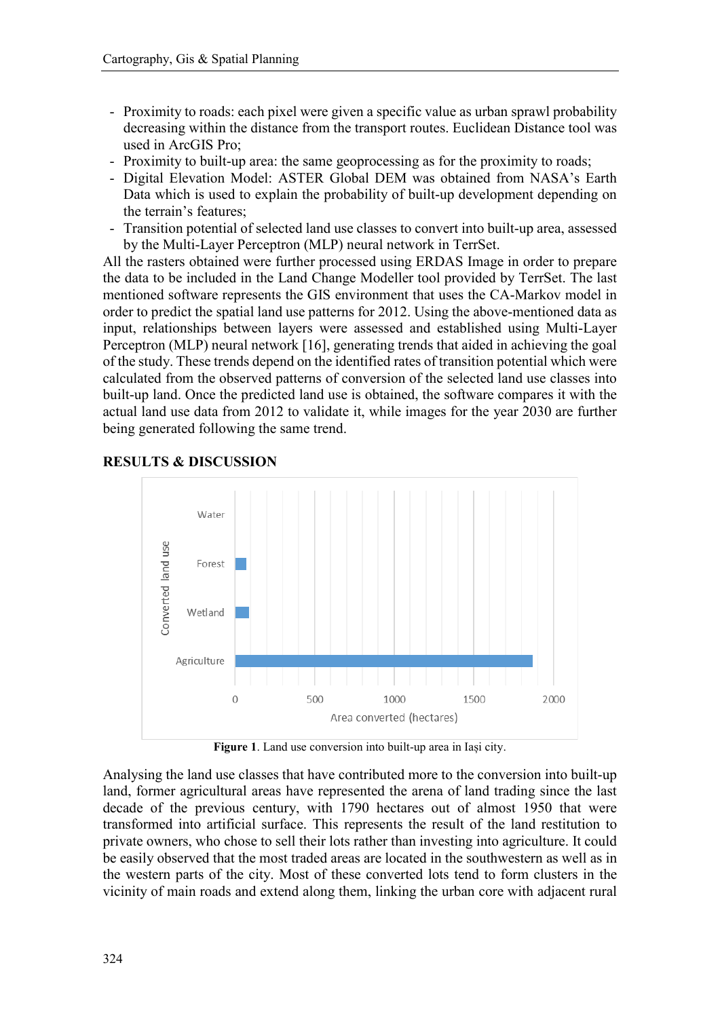- Proximity to roads: each pixel were given a specific value as urban sprawl probability decreasing within the distance from the transport routes. Euclidean Distance tool was used in ArcGIS Pro;
- Proximity to built-up area: the same geoprocessing as for the proximity to roads;
- Digital Elevation Model: ASTER Global DEM was obtained from NASA's Earth Data which is used to explain the probability of built-up development depending on the terrain's features;
- Transition potential of selected land use classes to convert into built-up area, assessed by the Multi-Layer Perceptron (MLP) neural network in TerrSet.

All the rasters obtained were further processed using ERDAS Image in order to prepare the data to be included in the Land Change Modeller tool provided by TerrSet. The last mentioned software represents the GIS environment that uses the CA-Markov model in order to predict the spatial land use patterns for 2012. Using the above-mentioned data as input, relationships between layers were assessed and established using Multi-Layer Perceptron (MLP) neural network [16], generating trends that aided in achieving the goal of the study. These trends depend on the identified rates of transition potential which were calculated from the observed patterns of conversion of the selected land use classes into built-up land. Once the predicted land use is obtained, the software compares it with the actual land use data from 2012 to validate it, while images for the year 2030 are further being generated following the same trend.



#### **RESULTS & DISCUSSION**

**Figure 1**. Land use conversion into built-up area in Iași city.

Analysing the land use classes that have contributed more to the conversion into built-up land, former agricultural areas have represented the arena of land trading since the last decade of the previous century, with 1790 hectares out of almost 1950 that were transformed into artificial surface. This represents the result of the land restitution to private owners, who chose to sell their lots rather than investing into agriculture. It could be easily observed that the most traded areas are located in the southwestern as well as in the western parts of the city. Most of these converted lots tend to form clusters in the vicinity of main roads and extend along them, linking the urban core with adjacent rural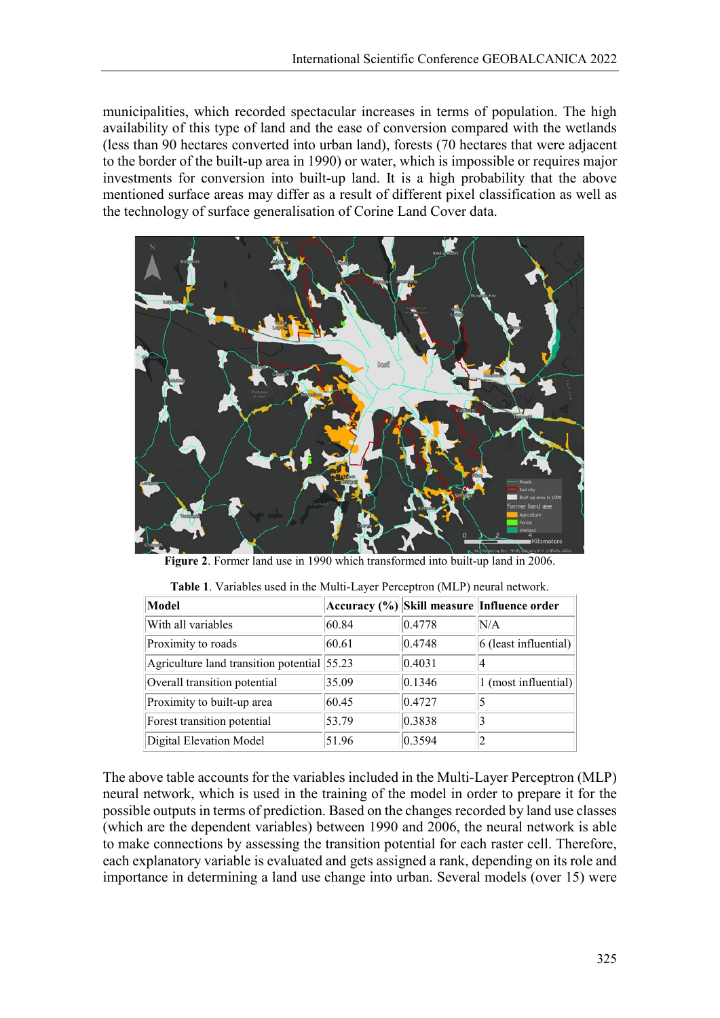municipalities, which recorded spectacular increases in terms of population. The high availability of this type of land and the ease of conversion compared with the wetlands (less than 90 hectares converted into urban land), forests (70 hectares that were adjacent to the border of the built-up area in 1990) or water, which is impossible or requires major investments for conversion into built-up land. It is a high probability that the above mentioned surface areas may differ as a result of different pixel classification as well as the technology of surface generalisation of Corine Land Cover data.



**Figure 2**. Former land use in 1990 which transformed into built-up land in 2006.

| Model                                       |       |        | Accuracy (%)  Skill measure  Influence order |
|---------------------------------------------|-------|--------|----------------------------------------------|
| With all variables                          | 60.84 | 0.4778 | N/A                                          |
| Proximity to roads                          | 60.61 | 0.4748 | 6 (least influential)                        |
| Agriculture land transition potential 55.23 |       | 0.4031 | 14                                           |
| Overall transition potential                | 35.09 | 0.1346 | 1 (most influential)                         |
| Proximity to built-up area                  | 60.45 | 0.4727 | 5                                            |
| Forest transition potential                 | 53.79 | 0.3838 |                                              |
| Digital Elevation Model                     | 51.96 | 0.3594 |                                              |

**Table 1**. Variables used in the Multi-Layer Perceptron (MLP) neural network.

The above table accounts for the variables included in the Multi-Layer Perceptron (MLP) neural network, which is used in the training of the model in order to prepare it for the possible outputs in terms of prediction. Based on the changes recorded by land use classes (which are the dependent variables) between 1990 and 2006, the neural network is able to make connections by assessing the transition potential for each raster cell. Therefore, each explanatory variable is evaluated and gets assigned a rank, depending on its role and importance in determining a land use change into urban. Several models (over 15) were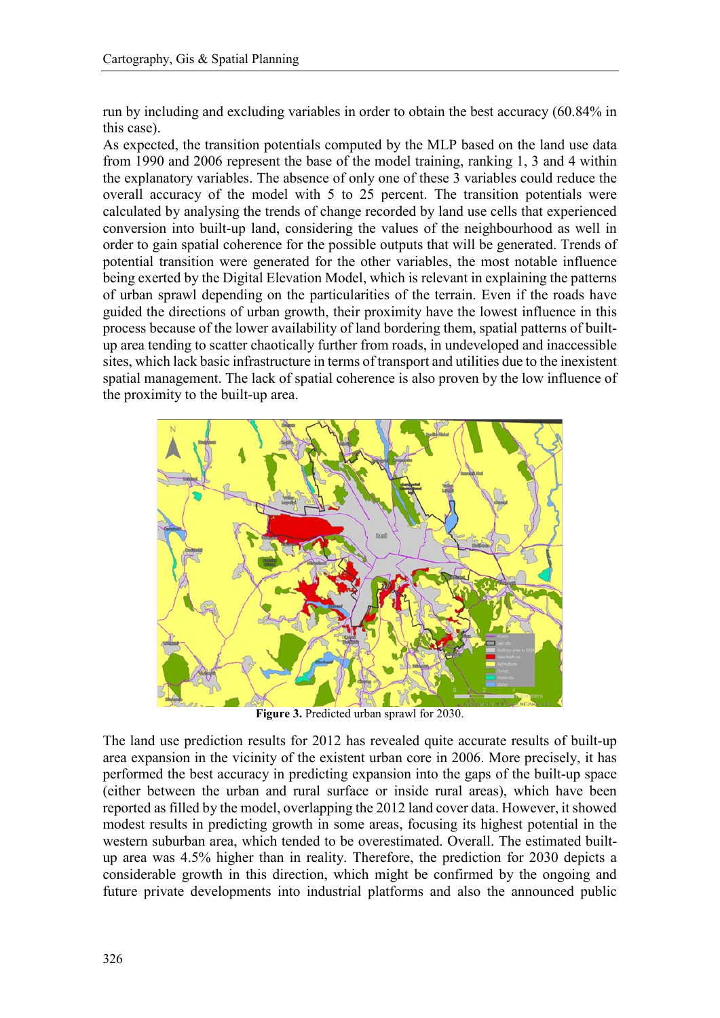run by including and excluding variables in order to obtain the best accuracy (60.84% in this case).

As expected, the transition potentials computed by the MLP based on the land use data from 1990 and 2006 represent the base of the model training, ranking 1, 3 and 4 within the explanatory variables. The absence of only one of these 3 variables could reduce the overall accuracy of the model with 5 to 25 percent. The transition potentials were calculated by analysing the trends of change recorded by land use cells that experienced conversion into built-up land, considering the values of the neighbourhood as well in order to gain spatial coherence for the possible outputs that will be generated. Trends of potential transition were generated for the other variables, the most notable influence being exerted by the Digital Elevation Model, which is relevant in explaining the patterns of urban sprawl depending on the particularities of the terrain. Even if the roads have guided the directions of urban growth, their proximity have the lowest influence in this process because of the lower availability of land bordering them, spatial patterns of builtup area tending to scatter chaotically further from roads, in undeveloped and inaccessible sites, which lack basic infrastructure in terms of transport and utilities due to the inexistent spatial management. The lack of spatial coherence is also proven by the low influence of the proximity to the built-up area.



**Figure 3.** Predicted urban sprawl for 2030.

The land use prediction results for 2012 has revealed quite accurate results of built-up area expansion in the vicinity of the existent urban core in 2006. More precisely, it has performed the best accuracy in predicting expansion into the gaps of the built-up space (either between the urban and rural surface or inside rural areas), which have been reported as filled by the model, overlapping the 2012 land cover data. However, it showed modest results in predicting growth in some areas, focusing its highest potential in the western suburban area, which tended to be overestimated. Overall. The estimated builtup area was 4.5% higher than in reality. Therefore, the prediction for 2030 depicts a considerable growth in this direction, which might be confirmed by the ongoing and future private developments into industrial platforms and also the announced public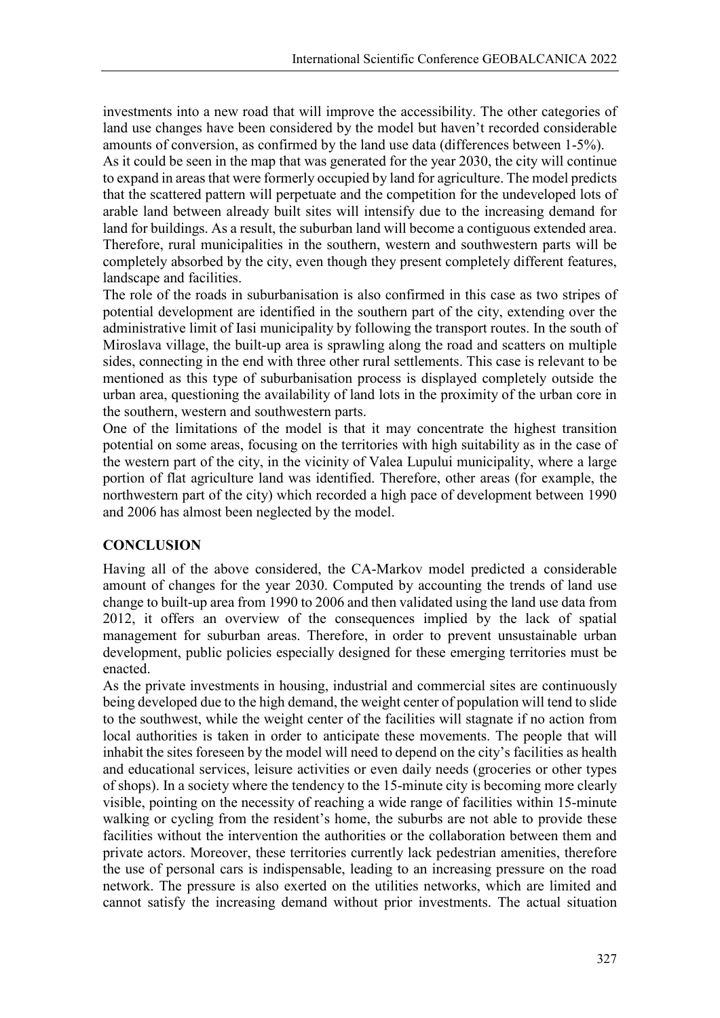investments into a new road that will improve the accessibility. The other categories of land use changes have been considered by the model but haven't recorded considerable amounts of conversion, as confirmed by the land use data (differences between 1-5%).

As it could be seen in the map that was generated for the year 2030, the city will continue to expand in areas that were formerly occupied by land for agriculture. The model predicts that the scattered pattern will perpetuate and the competition for the undeveloped lots of arable land between already built sites will intensify due to the increasing demand for land for buildings. As a result, the suburban land will become a contiguous extended area. Therefore, rural municipalities in the southern, western and southwestern parts will be completely absorbed by the city, even though they present completely different features, landscape and facilities.

The role of the roads in suburbanisation is also confirmed in this case as two stripes of potential development are identified in the southern part of the city, extending over the administrative limit of Iasi municipality by following the transport routes. In the south of Miroslava village, the built-up area is sprawling along the road and scatters on multiple sides, connecting in the end with three other rural settlements. This case is relevant to be mentioned as this type of suburbanisation process is displayed completely outside the urban area, questioning the availability of land lots in the proximity of the urban core in the southern, western and southwestern parts.

One of the limitations of the model is that it may concentrate the highest transition potential on some areas, focusing on the territories with high suitability as in the case of the western part of the city, in the vicinity of Valea Lupului municipality, where a large portion of flat agriculture land was identified. Therefore, other areas (for example, the northwestern part of the city) which recorded a high pace of development between 1990 and 2006 has almost been neglected by the model.

# **CONCLUSION**

Having all of the above considered, the CA-Markov model predicted a considerable amount of changes for the year 2030. Computed by accounting the trends of land use change to built-up area from 1990 to 2006 and then validated using the land use data from 2012, it offers an overview of the consequences implied by the lack of spatial management for suburban areas. Therefore, in order to prevent unsustainable urban development, public policies especially designed for these emerging territories must be enacted.

As the private investments in housing, industrial and commercial sites are continuously being developed due to the high demand, the weight center of population will tend to slide to the southwest, while the weight center of the facilities will stagnate if no action from local authorities is taken in order to anticipate these movements. The people that will inhabit the sites foreseen by the model will need to depend on the city's facilities as health and educational services, leisure activities or even daily needs (groceries or other types of shops). In a society where the tendency to the 15-minute city is becoming more clearly visible, pointing on the necessity of reaching a wide range of facilities within 15-minute walking or cycling from the resident's home, the suburbs are not able to provide these facilities without the intervention the authorities or the collaboration between them and private actors. Moreover, these territories currently lack pedestrian amenities, therefore the use of personal cars is indispensable, leading to an increasing pressure on the road network. The pressure is also exerted on the utilities networks, which are limited and cannot satisfy the increasing demand without prior investments. The actual situation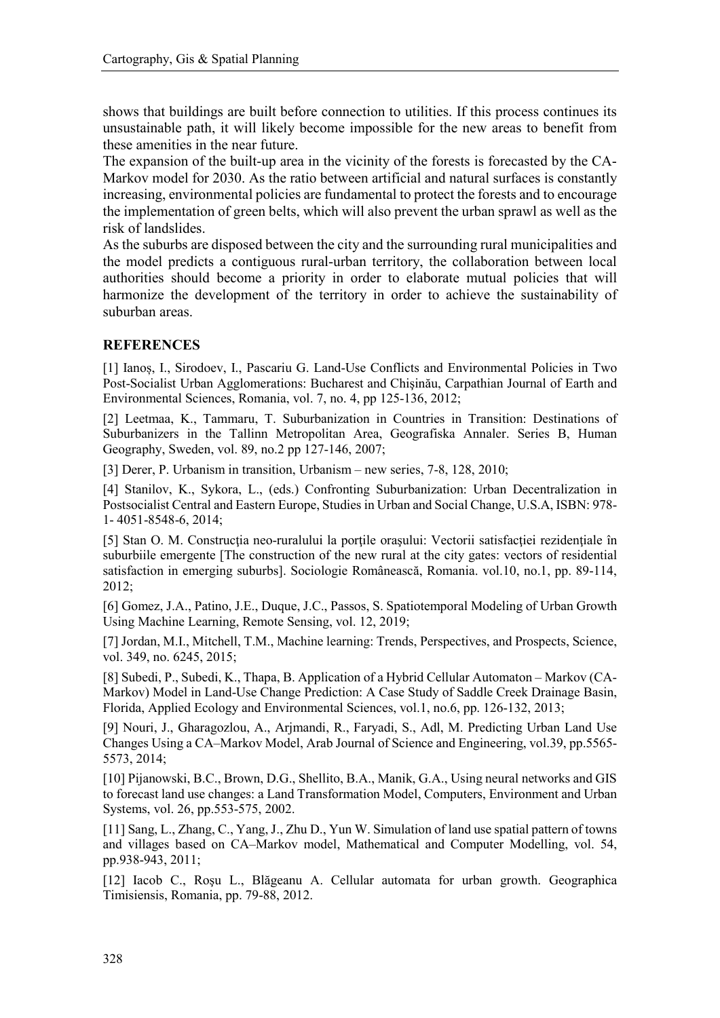shows that buildings are built before connection to utilities. If this process continues its unsustainable path, it will likely become impossible for the new areas to benefit from these amenities in the near future.

The expansion of the built-up area in the vicinity of the forests is forecasted by the CA-Markov model for 2030. As the ratio between artificial and natural surfaces is constantly increasing, environmental policies are fundamental to protect the forests and to encourage the implementation of green belts, which will also prevent the urban sprawl as well as the risk of landslides.

As the suburbs are disposed between the city and the surrounding rural municipalities and the model predicts a contiguous rural-urban territory, the collaboration between local authorities should become a priority in order to elaborate mutual policies that will harmonize the development of the territory in order to achieve the sustainability of suburban areas.

## **REFERENCES**

[1] Ianoș, I., Sirodoev, I., Pascariu G. Land-Use Conflicts and Environmental Policies in Two Post-Socialist Urban Agglomerations: Bucharest and Chişinău, Carpathian Journal of Earth and Environmental Sciences, Romania, vol. 7, no. 4, pp 125-136, 2012;

[2] Leetmaa, K., Tammaru, T. Suburbanization in Countries in Transition: Destinations of Suburbanizers in the Tallinn Metropolitan Area, Geografiska Annaler. Series B, Human Geography, Sweden, vol. 89, no.2 pp 127-146, 2007;

[3] Derer, P. Urbanism in transition, Urbanism – new series, 7-8, 128, 2010;

[4] Stanilov, K., Sykora, L., (eds.) Confronting Suburbanization: Urban Decentralization in Postsocialist Central and Eastern Europe, Studies in Urban and Social Change, U.S.A, ISBN: 978- 1- 4051-8548-6, 2014;

[5] Stan O. M. Construcţia neo-ruralului la porţile oraşului: Vectorii satisfacţiei rezidenţiale în suburbiile emergente [The construction of the new rural at the city gates: vectors of residential satisfaction in emerging suburbs]. Sociologie Românească, Romania. vol.10, no.1, pp. 89-114, 2012;

[6] Gomez, J.A., Patino, J.E., Duque, J.C., Passos, S. Spatiotemporal Modeling of Urban Growth Using Machine Learning, Remote Sensing, vol. 12, 2019;

[7] Jordan, M.I., Mitchell, T.M., Machine learning: Trends, Perspectives, and Prospects, Science, vol. 349, no. 6245, 2015;

[8] Subedi, P., Subedi, K., Thapa, B. Application of a Hybrid Cellular Automaton – Markov (CA-Markov) Model in Land-Use Change Prediction: A Case Study of Saddle Creek Drainage Basin, Florida, Applied Ecology and Environmental Sciences, vol.1, no.6, pp. 126-132, 2013;

[9] Nouri, J., Gharagozlou, A., Arjmandi, R., Faryadi, S., Adl, M. Predicting Urban Land Use Changes Using a CA–Markov Model, Arab Journal of Science and Engineering, vol.39, pp.5565- 5573, 2014;

[10] Pijanowski, B.C., Brown, D.G., Shellito, B.A., Manik, G.A., Using neural networks and GIS to forecast land use changes: a Land Transformation Model, Computers, Environment and Urban Systems, vol. 26, pp.553-575, 2002.

[11] Sang, L., Zhang, C., Yang, J., Zhu D., Yun W. Simulation of land use spatial pattern of towns and villages based on CA–Markov model, Mathematical and Computer Modelling, vol. 54, pp.938-943, 2011;

[12] Iacob C., Roşu L., Blăgeanu A. Cellular automata for urban growth. Geographica Timisiensis, Romania, pp. 79-88, 2012.